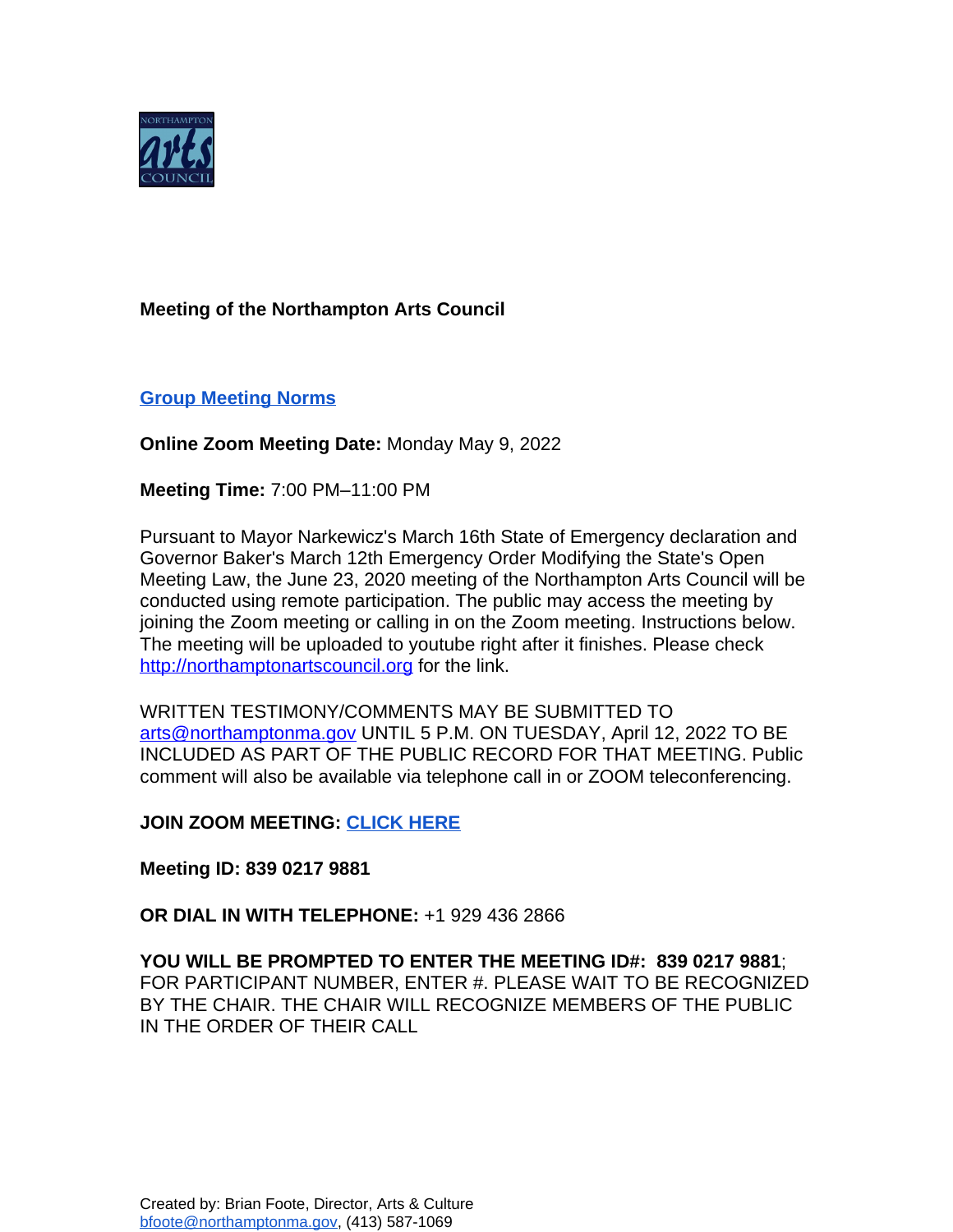

## **Meeting of the Northampton Arts Council**

## **[Group Meeting Norms](https://docs.google.com/document/d/1HsAs9eKPNH9wsmTrVXWLBaOcjETI8_4_EhJtmzV9qws/edit?usp=sharing)**

**Online Zoom Meeting Date:** Monday May 9, 2022

**Meeting Time:** 7:00 PM–11:00 PM

Pursuant to Mayor Narkewicz's March 16th State of Emergency declaration and Governor Baker's March 12th Emergency Order Modifying the State's Open Meeting Law, the June 23, 2020 meeting of the Northampton Arts Council will be conducted using remote participation. The public may access the meeting by joining the Zoom meeting or calling in on the Zoom meeting. Instructions below. The meeting will be uploaded to youtube right after it finishes. Please check <http://northamptonartscouncil.org> for the link.

WRITTEN TESTIMONY/COMMENTS MAY BE SUBMITTED TO [arts@northamptonma.gov](mailto:arts@northamptonma.gov%20?subject=Zoom%20Board%20Meeting) UNTIL 5 P.M. ON TUESDAY, April 12, 2022 TO BE INCLUDED AS PART OF THE PUBLIC RECORD FOR THAT MEETING. Public comment will also be available via telephone call in or ZOOM teleconferencing.

**JOIN ZOOM MEETING: [CLICK HERE](https://us06web.zoom.us/j/83902179881)**

**Meeting ID: 839 0217 9881**

**OR DIAL IN WITH TELEPHONE:** +1 929 436 2866

**YOU WILL BE PROMPTED TO ENTER THE MEETING ID#: 839 0217 9881**; FOR PARTICIPANT NUMBER, ENTER #. PLEASE WAIT TO BE RECOGNIZED BY THE CHAIR. THE CHAIR WILL RECOGNIZE MEMBERS OF THE PUBLIC IN THE ORDER OF THEIR CALL